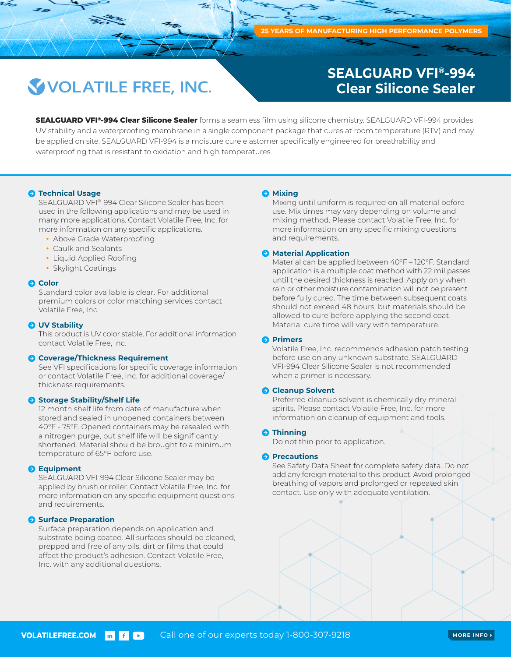# **VOLATILE FREE, INC.**

## **SEALGUARD VFI®-994 Clear Silicone Sealer**

**SEALGUARD VFI®-994 Clear Silicone Sealer** forms a seamless film using silicone chemistry. SEALGUARD VFI-994 provides UV stability and a waterproofing membrane in a single component package that cures at room temperature (RTV) and may be applied on site. SEALGUARD VFI-994 is a moisture cure elastomer specifically engineered for breathability and waterproofing that is resistant to oxidation and high temperatures.

#### $\bullet$  **Technical Usage**

SEALGUARD VFI®-994 Clear Silicone Sealer has been used in the following applications and may be used in many more applications. Contact Volatile Free, Inc. for more information on any specific applications.

- Above Grade Waterproofing
- Caulk and Sealants
- Liquid Applied Roofing
- Skylight Coatings

#### **Color**

Standard color available is clear. For additional premium colors or color matching services contact Volatile Free, Inc.

#### **UV Stability**

This product is UV color stable. For additional information contact Volatile Free, Inc.

#### **Coverage/Thickness Requirement**

See VFI specifications for specific coverage information or contact Volatile Free, Inc. for additional coverage/ thickness requirements.

#### **Storage Stability/Shelf Life**

12 month shelf life from date of manufacture when stored and sealed in unopened containers between 40°F - 75°F. Opened containers may be resealed with a nitrogen purge, but shelf life will be significantly shortened. Material should be brought to a minimum temperature of 65°F before use.

#### **A** Equipment

SEALGUARD VFI-994 Clear Silicone Sealer may be applied by brush or roller. Contact Volatile Free, Inc. for more information on any specific equipment questions and requirements.

#### **Surface Preparation**

Surface preparation depends on application and substrate being coated. All surfaces should be cleaned, prepped and free of any oils, dirt or films that could affect the product's adhesion. Contact Volatile Free, Inc. with any additional questions.

#### $\Theta$  Mixing

Mixing until uniform is required on all material before use. Mix times may vary depending on volume and mixing method. Please contact Volatile Free, Inc. for more information on any specific mixing questions and requirements.

#### **A** Material Application

Material can be applied between 40°F – 120°F. Standard application is a multiple coat method with 22 mil passes until the desired thickness is reached. Apply only when rain or other moisture contamination will not be present before fully cured. The time between subsequent coats should not exceed 48 hours, but materials should be allowed to cure before applying the second coat. Material cure time will vary with temperature.

#### **Primers**

Volatile Free, Inc. recommends adhesion patch testing before use on any unknown substrate. SEALGUARD VFI-994 Clear Silicone Sealer is not recommended when a primer is necessary.

#### **Cleanup Solvent**

Preferred cleanup solvent is chemically dry mineral spirits. Please contact Volatile Free, Inc. for more information on cleanup of equipment and tools.

#### **O** Thinning

Do not thin prior to application.

#### **Precautions**

See Safety Data Sheet for complete safety data. Do not add any foreign material to this product. Avoid prolonged breathing of vapors and prolonged or repeated skin contact. Use only with adequate ventilation.